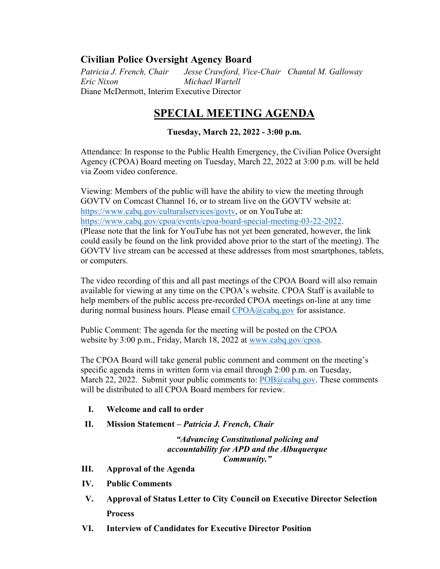## **Civilian Police Oversight Agency Board**

*Patricia J. French, Chair Jesse Crawford, Vice-Chair Chantal M. Galloway Eric Nixon Michael Wartell* Diane McDermott, Interim Executive Director

## **SPECIAL MEETING AGENDA**

## **Tuesday, March 22, 2022 - 3:00 p.m.**

Attendance: In response to the Public Health Emergency, the Civilian Police Oversight Agency (CPOA) Board meeting on Tuesday, March 22, 2022 at 3:00 p.m. will be held via Zoom video conference.

Viewing: Members of the public will have the ability to view the meeting through GOVTV on Comcast Channel 16, or to stream live on the GOVTV website at: [https://www.cabq.gov/culturalservices/govtv,](https://www.cabq.gov/culturalservices/govtv) or on YouTube at: [https://www.cabq.gov/cpoa/events/cpoa-board-special-meeting-03-22-2022.](https://www.cabq.gov/cpoa/events/cpoa-board-special-meeting-03-22-2022) (Please note that the link for YouTube has not yet been generated, however, the link could easily be found on the link provided above prior to the start of the meeting). The GOVTV live stream can be accessed at these addresses from most smartphones, tablets, or computers.

The video recording of this and all past meetings of the CPOA Board will also remain available for viewing at any time on the CPOA's website. CPOA Staff is available to help members of the public access pre-recorded CPOA meetings on-line at any time during normal business hours. Please email [CPOA@cabq.gov](mailto:CPOA@cabq.gov?subject=CPOA%20Board%20Meeting%20Assistance%2004-09-2020) for assistance.

Public Comment: The agenda for the meeting will be posted on the CPOA website by 3:00 p.m., Friday, March 18, 2022 at [www.cabq.gov/cpoa.](http://www.cabq.gov/cpoa)

The CPOA Board will take general public comment and comment on the meeting's specific agenda items in written form via email through 2:00 p.m. on Tuesday, March 22, 2022. Submit your public comments to: [POB@cabq.gov.](mailto:POB@cabq.gov?subject=Public%20Comment:%20CPOA%20Board%20Meeting%2004-09-2020) These comments will be distributed to all CPOA Board members for review.

- **I. Welcome and call to order**
- **II. Mission Statement –** *Patricia J. French, Chair*

*"Advancing Constitutional policing and accountability for APD and the Albuquerque Community."*

- **III. Approval of the Agenda**
- **IV. Public Comments**
- **V. Approval of Status Letter to City Council on Executive Director Selection Process**
- **VI. Interview of Candidates for Executive Director Position**